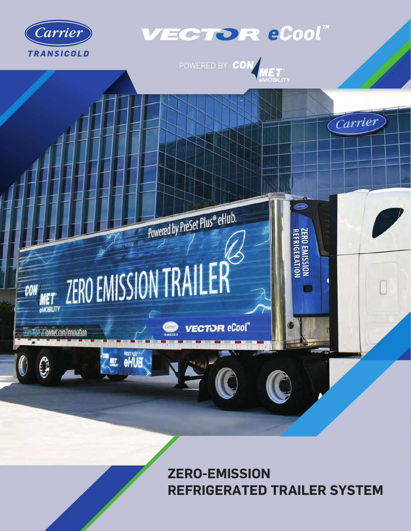

## VECTOR eCool"

POWERED BY CON MET



**ZERO-EMISSION REFRIGERATED TRAILER SYSTEM**